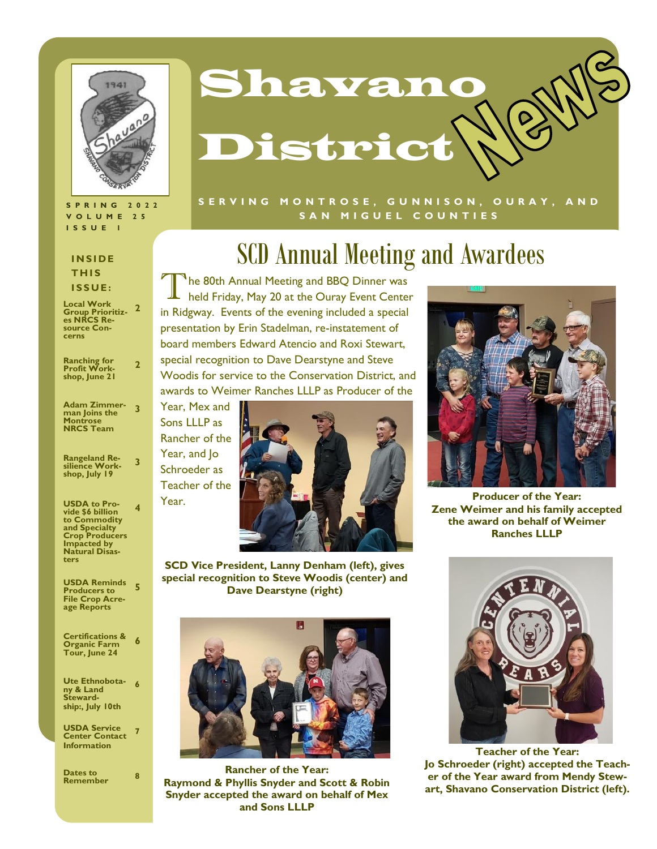

#### **S P R I N G 2 0 2 2 V O L U M E 2 5 I S S U E 1**

#### **I N S I D E T H I S I S S U E :**

| <b>Local Work</b><br><b>Group Prioritiz-</b><br>es NRCS Re-<br>source Con-<br>cerns                                                                      | 2              |
|----------------------------------------------------------------------------------------------------------------------------------------------------------|----------------|
| <b>Ranching for<br/>Profit Work-</b><br>shop, June 21                                                                                                    | $\overline{2}$ |
| <b>Adam Zimmer-</b><br>man Joins the<br><b>Montrose</b><br><b>NRCS Team</b>                                                                              | 3              |
| Rangeland Re <mark>-</mark><br>silience Work-<br>shop, July 19                                                                                           | 3              |
| <b>USDA to Pro-</b><br>vide \$6 billion<br>to Commodity<br>and Specialty<br><b>Crop Producers</b><br><b>Impacted by</b><br><b>Natural Disas-</b><br>ters | 4              |
| <b>USDA Reminds</b><br><b>Producers to</b><br><b>File Crop Acre-</b><br>age Reports                                                                      | 5              |
| <b>Certifications &amp;</b><br><b>Organic Farm</b><br>Tour, June 24                                                                                      | 6              |
| <b>Ute Ethnobota-</b><br>ny & Land                                                                                                                       | 6              |

### **ny & Land Stewardship:, July 10th**

**USDA Service Center Contact Information 7**

| Dates to<br><b>Remember</b> | 8 |
|-----------------------------|---|
|-----------------------------|---|



#### **S E R V I N G M O N T R O S E , G U N N I S O N , O U R A Y , A N D**  SAN MIGUEL COUNTIES

# SCD Annual Meeting and Awardees

T The 80th Annual Meeting and BBQ Dinner was held Friday, May 20 at the Ouray Event Center in Ridgway. Events of the evening included a special presentation by Erin Stadelman, re-instatement of board members Edward Atencio and Roxi Stewart, special recognition to Dave Dearstyne and Steve Woodis for service to the Conservation District, and awards to Weimer Ranches LLLP as Producer of the





**SCD Vice President, Lanny Denham (left), gives special recognition to Steve Woodis (center) and Dave Dearstyne (right)**



**Rancher of the Year: Raymond & Phyllis Snyder and Scott & Robin Snyder accepted the award on behalf of Mex and Sons LLLP**



**Producer of the Year: Zene Weimer and his family accepted the award on behalf of Weimer Ranches LLLP**



**Teacher of the Year: Jo Schroeder (right) accepted the Teacher of the Year award from Mendy Stewart, Shavano Conservation District (left).**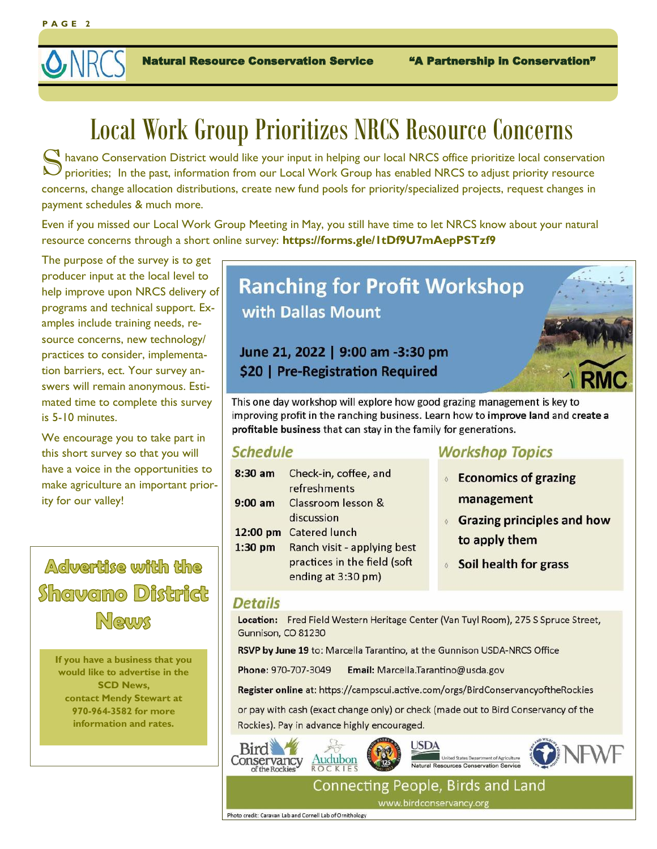

Natural Resource Conservation Service "A Partnership in Conservation"

# Local Work Group Prioritizes NRCS Resource Concerns

S havano Conservation District would like your input in helping our local NRCS office prioritize local conservation<br>
priorities; In the past, information from our Local Work Group has enabled NRCS to adjust priority resour  $\bf N$  havano Conservation District would like your input in helping our local NRCS office prioritize local conservation concerns, change allocation distributions, create new fund pools for priority/specialized projects, request changes in payment schedules & much more.

Even if you missed our Local Work Group Meeting in May, you still have time to let NRCS know about your natural resource concerns through a short online survey: **https://forms.gle/1tDf9U7mAepPSTzf9** 

The purpose of the survey is to get producer input at the local level to help improve upon NRCS delivery of programs and technical support. Examples include training needs, resource concerns, new technology/ practices to consider, implementation barriers, ect. Your survey answers will remain anonymous. Estimated time to complete this survey is 5-10 minutes.

We encourage you to take part in this short survey so that you will have a voice in the opportunities to make agriculture an important priority for our valley!

## Adwartise witth the Shawamo District News

**If you have a business that you would like to advertise in the SCD News, contact Mendy Stewart at 970-964-3582 for more information and rates.**

# **Ranching for Profit Workshop** with Dallas Mount

### June 21, 2022 | 9:00 am -3:30 pm \$20 | Pre-Registration Required



This one day workshop will explore how good grazing management is key to improving profit in the ranching business. Learn how to improve land and create a profitable business that can stay in the family for generations.

### **Schedule**

| $8:30$ am | Check-in, coffee, and        |
|-----------|------------------------------|
|           | refreshments                 |
| $9:00$ am | Classroom lesson &           |
|           | discussion                   |
| 12:00 pm  | <b>Catered lunch</b>         |
| $1:30$ pm | Ranch visit - applying best  |
|           | practices in the field (soft |
|           | ending at 3:30 pm)           |

### **Workshop Topics**

- **Economics of grazing** management
- **6 Grazing principles and how** to apply them
- **Soil health for grass**

#### **Details**

Location: Fred Field Western Heritage Center (Van Tuyl Room), 275 S Spruce Street, Gunnison, CO 81230

RSVP by June 19 to: Marcella Tarantino, at the Gunnison USDA-NRCS Office

Phone: 970-707-3049 Email: Marcella.Tarantino@usda.gov

Register online at: https://campscui.active.com/orgs/BirdConservancyoftheRockies

or pay with cash (exact change only) or check (made out to Bird Conservancy of the Rockies). Pay in advance highly encouraged.



**Connecting People, Birds and Land** www.birdconservancy.org

Photo credit: Caravan Lab and Cornell Lab of Ornithology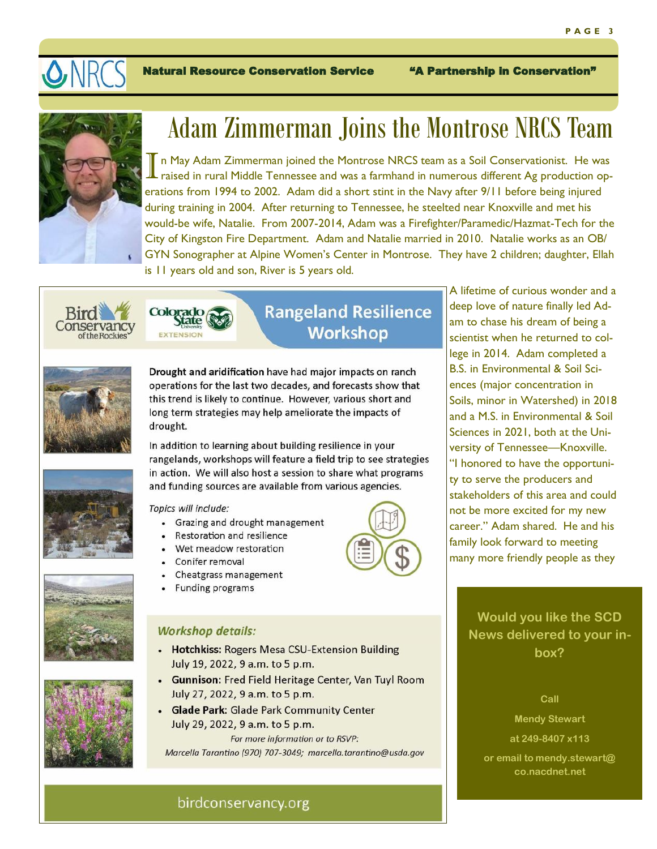

Natural Resource Conservation Service "A Partnership in Conservation"



# Adam Zimmerman Joins the Montrose NRCS Team

I n May Adam Zimmerman joined the Montrose NRCS team as a Soil Conservationist. He was raised in rural Middle Tennessee and was a farmhand in numerous different Ag production operations from 1994 to 2002. Adam did a short stint in the Navy after 9/11 before being injured during training in 2004. After returning to Tennessee, he steelted near Knoxville and met his would-be wife, Natalie. From 2007-2014, Adam was a Firefighter/Paramedic/Hazmat-Tech for the City of Kingston Fire Department. Adam and Natalie married in 2010. Natalie works as an OB/ GYN Sonographer at Alpine Women's Center in Montrose. They have 2 children; daughter, Ellah is 11 years old and son, River is 5 years old.



Colorado

### **Rangeland Resilience Workshop**



Drought and aridification have had major impacts on ranch operations for the last two decades, and forecasts show that this trend is likely to continue. However, various short and long term strategies may help ameliorate the impacts of drought.

In addition to learning about building resilience in your rangelands, workshops will feature a field trip to see strategies in action. We will also host a session to share what programs and funding sources are available from various agencies.

#### Topics will include:

- Grazing and drought management
- Restoration and resilience
- Wet meadow restoration
- Conifer removal
- Cheatgrass management
- **Funding programs**

#### **Workshop details:**

- Hotchkiss: Rogers Mesa CSU-Extension Building July 19, 2022, 9 a.m. to 5 p.m.
- Gunnison: Fred Field Heritage Center, Van Tuyl Room July 27, 2022, 9 a.m. to 5 p.m.
- Glade Park: Glade Park Community Center July 29, 2022, 9 a.m. to 5 p.m. For more information or to RSVP:

Marcella Tarantino (970) 707-3049; marcella.tarantino@usda.gov

A lifetime of curious wonder and a deep love of nature finally led Adam to chase his dream of being a scientist when he returned to college in 2014. Adam completed a B.S. in Environmental & Soil Sciences (major concentration in Soils, minor in Watershed) in 2018 and a M.S. in Environmental & Soil Sciences in 2021, both at the University of Tennessee—Knoxville. "I honored to have the opportunity to serve the producers and stakeholders of this area and could not be more excited for my new career." Adam shared. He and his family look forward to meeting many more friendly people as they

> **Would you like the SCD News delivered to your inbox?**

#### **Call**

**Mendy Stewart** 

```
at 249-8407 x113
```
**or email to mendy.stewart@ co.nacdnet.net**





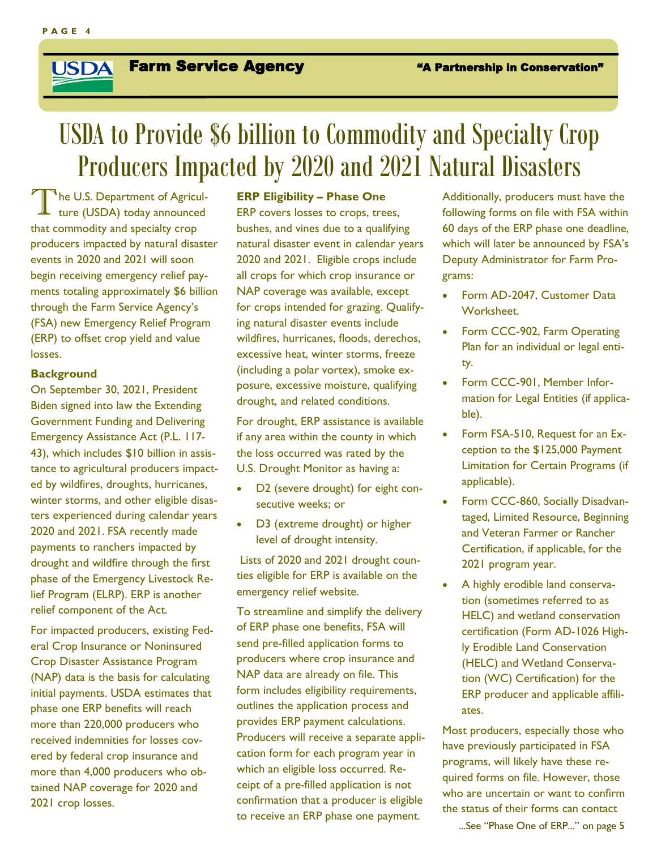#### Farm Service Agency The Mathematic in Conservation" **USDA**

# USDA to Provide \$6 billion to Commodity and Specialty Crop Producers Impacted by 2020 and 2021 Natural Disasters

The U.S. Department of Agricul-<br>ture (USDA) today announced <sup>1</sup>he U.S. Department of Agriculthat commodity and specialty crop producers impacted by natural disaster events in 2020 and 2021 will soon begin receiving emergency relief payments totaling approximately \$6 billion through the Farm Service Agency's (FSA) new Emergency Relief Program (ERP) to offset crop yield and value losses.

#### **Background**

On September 30, 2021, President Biden signed into law the Extending Government Funding and Delivering Emergency Assistance Act (P.L. 117- 43), which includes \$10 billion in assistance to agricultural producers impacted by wildfires, droughts, hurricanes, winter storms, and other eligible disasters experienced during calendar years 2020 and 2021. FSA recently made payments to ranchers impacted by drought and wildfire through the first phase of the Emergency Livestock Relief Program (ELRP). ERP is another relief component of the Act.

For impacted producers, existing Federal Crop Insurance or Noninsured Crop Disaster Assistance Program (NAP) data is the basis for calculating initial payments. USDA estimates that phase one ERP benefits will reach more than 220,000 producers who received indemnities for losses covered by federal crop insurance and more than 4,000 producers who obtained NAP coverage for 2020 and 2021 crop losses.

#### **ERP Eligibility – Phase One**

ERP covers losses to crops, trees, bushes, and vines due to a qualifying natural disaster event in calendar years 2020 and 2021. Eligible crops include all crops for which crop insurance or NAP coverage was available, except for crops intended for grazing. Qualifying natural disaster events include wildfires, hurricanes, floods, derechos, excessive heat, winter storms, freeze (including a polar vortex), smoke exposure, excessive moisture, qualifying drought, and related conditions.

For drought, ERP assistance is available if any area within the county in which the loss occurred was rated by the U.S. Drought Monitor as having a:

- D2 (severe drought) for eight consecutive weeks; or
- D3 (extreme drought) or higher level of drought intensity.

Lists of 2020 and 2021 drought counties eligible for ERP is available on the emergency relief website.

To streamline and simplify the delivery of ERP phase one benefits, FSA will send pre-filled application forms to producers where crop insurance and NAP data are already on file. This form includes eligibility requirements, outlines the application process and provides ERP payment calculations. Producers will receive a separate application form for each program year in which an eligible loss occurred. Receipt of a pre-filled application is not confirmation that a producer is eligible to receive an ERP phase one payment.

Additionally, producers must have the following forms on file with FSA within 60 days of the ERP phase one deadline, which will later be announced by FSA's Deputy Administrator for Farm Programs:

- Form AD-2047, Customer Data Worksheet.
- Form CCC-902, Farm Operating Plan for an individual or legal entity.
- Form CCC-901, Member Information for Legal Entities (if applicable).
- Form FSA-510, Request for an Exception to the \$125,000 Payment Limitation for Certain Programs (if applicable).
- Form CCC-860, Socially Disadvantaged, Limited Resource, Beginning and Veteran Farmer or Rancher Certification, if applicable, for the 2021 program year.
- A highly erodible land conservation (sometimes referred to as HELC) and wetland conservation certification (Form AD-1026 Highly Erodible Land Conservation (HELC) and Wetland Conservation (WC) Certification) for the ERP producer and applicable affiliates.

Most producers, especially those who have previously participated in FSA programs, will likely have these required forms on file. However, those who are uncertain or want to confirm the status of their forms can contact

...See "Phase One of ERP..." on page 5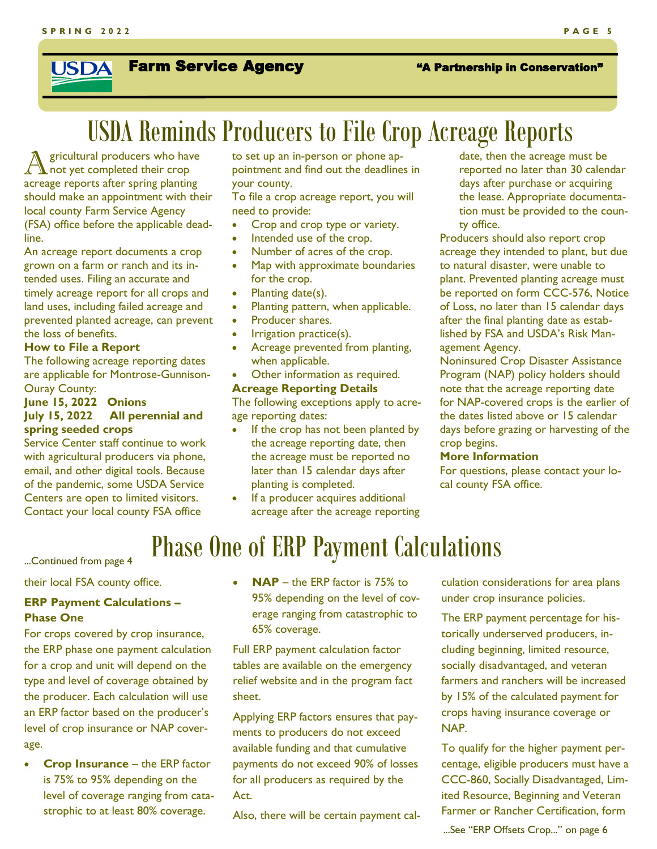#### Farm Service Agency The Mathemship in Conservation" **USDA**

# USDA Reminds Producers to File Crop Acreage Reports

A gricultural producers who have not yet completed their crop gricultural producers who have acreage reports after spring planting should make an appointment with their local county Farm Service Agency (FSA) office before the applicable deadline.

An acreage report documents a crop grown on a farm or ranch and its intended uses. Filing an accurate and timely acreage report for all crops and land uses, including failed acreage and prevented planted acreage, can prevent the loss of benefits.

#### **How to File a Report**

The following acreage reporting dates are applicable for Montrose-Gunnison-Ouray County:

**June 15, 2022 Onions July 15, 2022 All perennial and spring seeded crops** 

Service Center staff continue to work with agricultural producers via phone, email, and other digital tools. Because of the pandemic, some USDA Service Centers are open to limited visitors. Contact your local county FSA office

to set up an in-person or phone appointment and find out the deadlines in your county.

To file a crop acreage report, you will need to provide:

- Crop and crop type or variety.
- Intended use of the crop.
- Number of acres of the crop.
- Map with approximate boundaries for the crop.
- Planting date(s).
- Planting pattern, when applicable.
- Producer shares.
- Irrigation practice(s).
- Acreage prevented from planting, when applicable.
- Other information as required.

#### **Acreage Reporting Details**

The following exceptions apply to acreage reporting dates:

- If the crop has not been planted by the acreage reporting date, then the acreage must be reported no later than 15 calendar days after planting is completed.
- If a producer acquires additional acreage after the acreage reporting

date, then the acreage must be reported no later than 30 calendar days after purchase or acquiring the lease. Appropriate documentation must be provided to the county office.

Producers should also report crop acreage they intended to plant, but due to natural disaster, were unable to plant. Prevented planting acreage must be reported on form CCC-576, Notice of Loss, no later than 15 calendar days after the final planting date as established by FSA and USDA's Risk Management Agency.

Noninsured Crop Disaster Assistance Program (NAP) policy holders should note that the acreage reporting date for NAP-covered crops is the earlier of the dates listed above or 15 calendar days before grazing or harvesting of the crop begins.

#### **More Information**

For questions, please contact your local county FSA office.

# Phase One of ERP Payment Calculations

...Continued from page 4

their local FSA county office.

#### **ERP Payment Calculations – Phase One**

For crops covered by crop insurance, the ERP phase one payment calculation for a crop and unit will depend on the type and level of coverage obtained by the producer. Each calculation will use an ERP factor based on the producer's level of crop insurance or NAP coverage.

• **Crop Insurance** – the ERP factor is 75% to 95% depending on the level of coverage ranging from catastrophic to at least 80% coverage.

• **NAP** – the ERP factor is 75% to 95% depending on the level of coverage ranging from catastrophic to 65% coverage.

Full ERP payment calculation factor tables are available on the emergency relief website and in the program fact sheet.

Applying ERP factors ensures that payments to producers do not exceed available funding and that cumulative payments do not exceed 90% of losses for all producers as required by the Act.

Also, there will be certain payment cal-

culation considerations for area plans under crop insurance policies.

The ERP payment percentage for historically underserved producers, including beginning, limited resource, socially disadvantaged, and veteran farmers and ranchers will be increased by 15% of the calculated payment for crops having insurance coverage or NAP.

To qualify for the higher payment percentage, eligible producers must have a CCC-860, Socially Disadvantaged, Limited Resource, Beginning and Veteran Farmer or Rancher Certification, form ...See "ERP Offsets Crop..." on page 6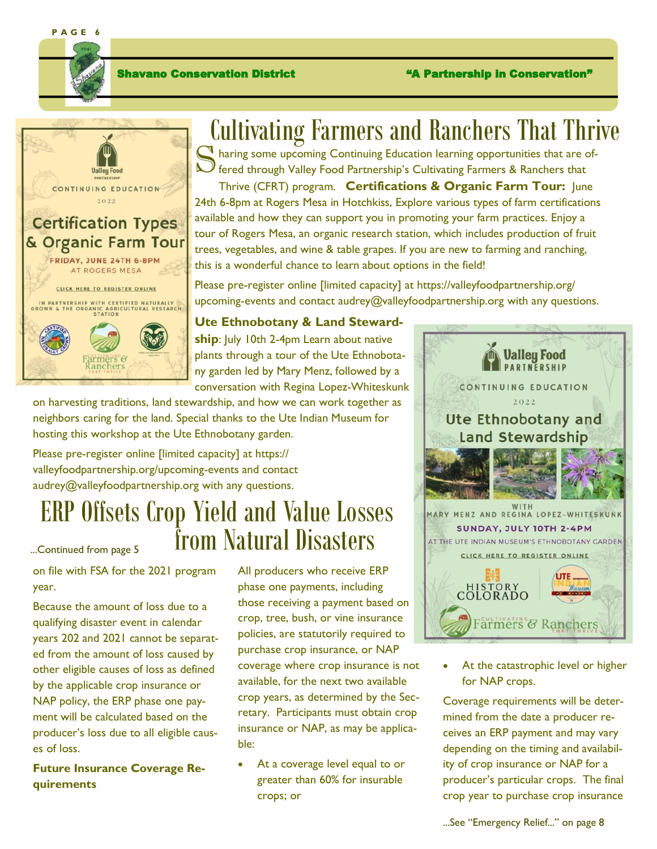**P A G E 6**





# Cultivating Farmers and Ranchers That Thrive

Sharing some upcoming Continuing Education learning opportunities that are of-<br>
Stered through Valley Food Partnership's Cultivating Farmers & Ranchers that  ${\cal Y}$  fered through Valley Food Partnership's Cultivating Farmers & Ranchers that

Thrive (CFRT) program. **Certifications & Organic Farm Tour:** June 24th 6-8pm at Rogers Mesa in Hotchkiss, Explore various types of farm certifications available and how they can support you in promoting your farm practices. Enjoy a tour of Rogers Mesa, an organic research station, which includes production of fruit trees, vegetables, and wine & table grapes. If you are new to farming and ranching, this is a wonderful chance to learn about options in the field!

Please pre-register online [limited capacity] at https://valleyfoodpartnership.org/ upcoming-events and contact audrey@valleyfoodpartnership.org with any questions.

### **Ute Ethnobotany & Land Steward-**

**ship**: July 10th 2-4pm Learn about native plants through a tour of the Ute Ethnobotany garden led by Mary Menz, followed by a conversation with Regina Lopez-Whiteskunk

on harvesting traditions, land stewardship, and how we can work together as neighbors caring for the land. Special thanks to the Ute Indian Museum for hosting this workshop at the Ute Ethnobotany garden.

Please pre-register online [limited capacity] at https:// valleyfoodpartnership.org/upcoming-events and contact audrey@valleyfoodpartnership.org with any questions.

# ERP Offsets Crop Yield and Value Losses  $\sum_{n\in\text{Continued from page 5}}$  from Natural Disasters

on file with FSA for the 2021 program year.

Because the amount of loss due to a qualifying disaster event in calendar years 202 and 2021 cannot be separated from the amount of loss caused by other eligible causes of loss as defined by the applicable crop insurance or NAP policy, the ERP phase one payment will be calculated based on the producer's loss due to all eligible causes of loss.

**Future Insurance Coverage Requirements**

All producers who receive ERP phase one payments, including those receiving a payment based on crop, tree, bush, or vine insurance policies, are statutorily required to purchase crop insurance, or NAP coverage where crop insurance is not available, for the next two available crop years, as determined by the Secretary. Participants must obtain crop insurance or NAP, as may be applicable:

• At a coverage level equal to or greater than 60% for insurable crops; or



At the catastrophic level or higher for NAP crops.

Coverage requirements will be determined from the date a producer receives an ERP payment and may vary depending on the timing and availability of crop insurance or NAP for a producer's particular crops. The final crop year to purchase crop insurance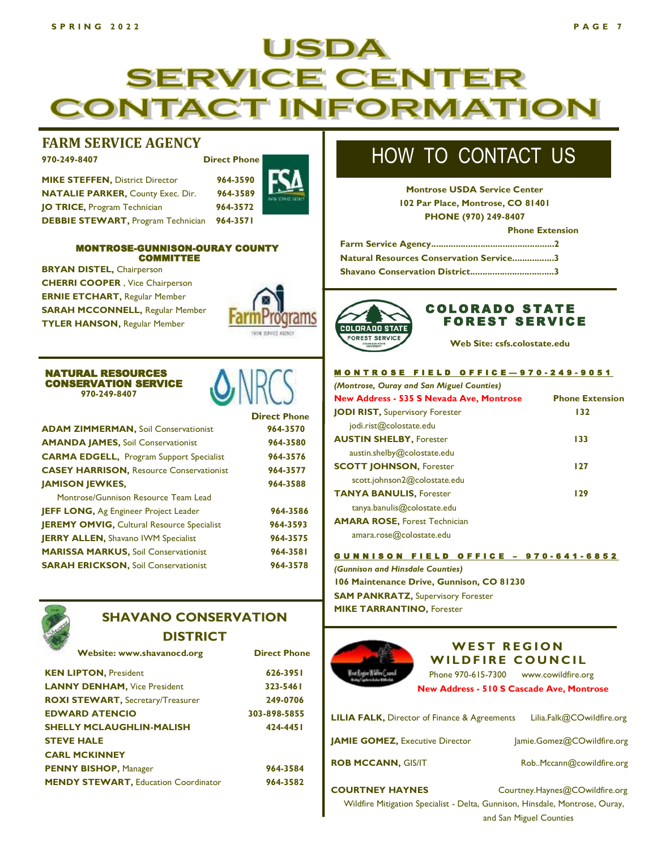### JSDA **SERVICE** CENTE **RMATION** CONTACT INF(

#### **FARM SERVICE AGENCY**

**970-249-8407 Direct Phone**

**MIKE STEFFEN,** District Director **964-3590 NATALIE PARKER,** County Exec. Dir. **964-3589 JO TRICE, Program Technician 964-3572 DEBBIE STEWART,** Program Technician **964-3571**



#### MONTROSE-GUNNISON-OURAY COUNTY COMMITTEE

**BRYAN DISTEL,** Chairperson **CHERRI COOPER** , Vice Chairperson **ERNIE ETCHART,** Regular Member **SARAH MCCONNELL,** Regular Member **TYLER HANSON,** Regular Member



#### NATURAL RESOURCES CONSERVATION SERVICE  **970-249-8407**



| <b>ADAM ZIMMERMAN, Soil Conservationist</b>       | 964-3570 |
|---------------------------------------------------|----------|
| <b>AMANDA JAMES, Soil Conservationist</b>         | 964-3580 |
| <b>CARMA EDGELL, Program Support Specialist</b>   | 964-3576 |
| <b>CASEY HARRISON, Resource Conservationist</b>   | 964-3577 |
| <b>JAMISON JEWKES,</b>                            | 964-3588 |
| Montrose/Gunnison Resource Team Lead              |          |
| JEFF LONG, Ag Engineer Project Leader             | 964-3586 |
| <b>JEREMY OMVIG, Cultural Resource Specialist</b> | 964-3593 |
| <b>JERRY ALLEN, Shavano IWM Specialist</b>        | 964-3575 |
| <b>MARISSA MARKUS, Soil Conservationist</b>       | 964-3581 |
| <b>SARAH ERICKSON, Soil Conservationist</b>       | 964-3578 |
|                                                   |          |



### **SHAVANO CONSERVATION**

**DISTRICT**

| <b>KEN LIPTON, President</b>                | 626-3951     |
|---------------------------------------------|--------------|
| <b>LANNY DENHAM, Vice President</b>         | 323-5461     |
| <b>ROXI STEWART, Secretary/Treasurer</b>    | 249-0706     |
| <b>EDWARD ATENCIO</b>                       | 303-898-5855 |
| <b>SHELLY MCLAUGHLIN-MALISH</b>             | 424-4451     |
| <b>STEVE HALE</b>                           |              |
| <b>CARL MCKINNEY</b>                        |              |
| <b>PENNY BISHOP, Manager</b>                | 964-3584     |
| <b>MENDY STEWART, Education Coordinator</b> | 964-3582     |

# HOW TO CONTACT US

**Montrose USDA Service Center 102 Par Place, Montrose, CO 81401 PHONE (970) 249-8407**

 **Phone Extension**

**Farm Service Agency..................................................2 Natural Resources Conservation Service.................3 Shavano Conservation District..................................3**



#### **COLORADO STATE FOREST SERVICE**

**Web Site: csfs.colostate.edu**

#### M O N T R O S E F I E L D O F F I C E - 9 7 0 - 2 4 9 - 9 0 5 1

| (Montrose, Ouray and San Miguel Counties) |                        |
|-------------------------------------------|------------------------|
| New Address - 535 S Nevada Ave, Montrose  | <b>Phone Extension</b> |
| <b>JODI RIST, Supervisory Forester</b>    | 132                    |
| jodi.rist@colostate.edu                   |                        |
| <b>AUSTIN SHELBY, Forester</b>            | 133                    |
| austin.shelby@colostate.edu               |                        |
| <b>SCOTT JOHNSON, Forester</b>            | 127                    |
| scott.johnson2@colostate.edu              |                        |
| <b>TANYA BANULIS, Forester</b>            | 129                    |
| tanya.banulis@colostate.edu               |                        |
| <b>AMARA ROSE, Forest Technician</b>      |                        |
| amara.rose@colostate.edu                  |                        |
|                                           |                        |

GUNNISON FIELD OFFICE - 970-641-6852

*(Gunnison and Hinsdale Counties)* **106 Maintenance Drive, Gunnison, CO 81230 SAM PANKRATZ, Supervisory Forester MIKE TARRANTINO,** Forester



#### **WEST REGION WILDFIRE COUNCIL**

**New Address - 510 S Cascade Ave, Montrose** Phone 970-615-7300 www.cowildfire.org

**LILIA FALK,** Director of Finance & Agreements Lilia.Falk@COwildfire.org **JAMIE GOMEZ,** Executive Director Jamie.Gomez@COwildfire.org

**ROB MCCANN, GIS/IT** Rob..Mccann@cowildfire.org

**COURTNEY HAYNES** Courtney.Haynes@COwildfire.org Wildfire Mitigation Specialist - Delta, Gunnison, Hinsdale, Montrose, Ouray, and San Miguel Counties